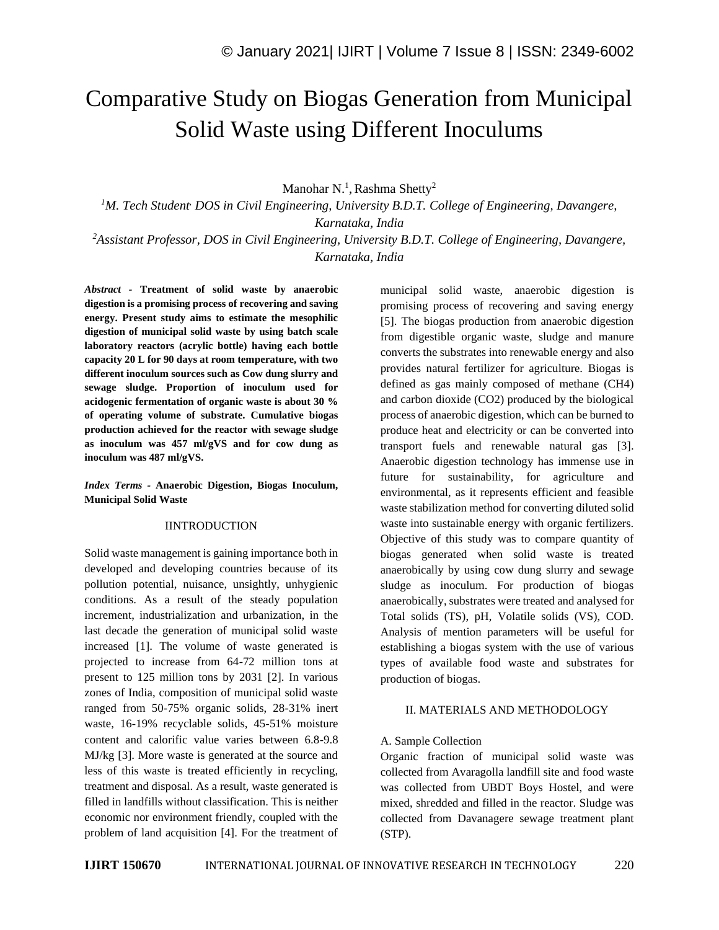# Comparative Study on Biogas Generation from Municipal Solid Waste using Different Inoculums

Manohar N.<sup>1</sup>, Rashma Shetty<sup>2</sup>

*<sup>1</sup>M. Tech Student, DOS in Civil Engineering, University B.D.T. College of Engineering, Davangere, Karnataka, India*

*<sup>2</sup>Assistant Professor, DOS in Civil Engineering, University B.D.T. College of Engineering, Davangere, Karnataka, India*

*Abstract -* **Treatment of solid waste by anaerobic digestion is a promising process of recovering and saving energy. Present study aims to estimate the mesophilic digestion of municipal solid waste by using batch scale laboratory reactors (acrylic bottle) having each bottle capacity 20 L for 90 days at room temperature, with two different inoculum sources such as Cow dung slurry and sewage sludge. Proportion of inoculum used for acidogenic fermentation of organic waste is about 30 % of operating volume of substrate. Cumulative biogas production achieved for the reactor with sewage sludge as inoculum was 457 ml/gVS and for cow dung as inoculum was 487 ml/gVS.**

*Index Terms -* **Anaerobic Digestion, Biogas Inoculum, Municipal Solid Waste**

#### IINTRODUCTION

Solid waste management is gaining importance both in developed and developing countries because of its pollution potential, nuisance, unsightly, unhygienic conditions. As a result of the steady population increment, industrialization and urbanization, in the last decade the generation of municipal solid waste increased [1]. The volume of waste generated is projected to increase from 64-72 million tons at present to 125 million tons by 2031 [2]. In various zones of India, composition of municipal solid waste ranged from 50-75% organic solids, 28-31% inert waste, 16-19% recyclable solids, 45-51% moisture content and calorific value varies between 6.8-9.8 MJ/kg [3]. More waste is generated at the source and less of this waste is treated efficiently in recycling, treatment and disposal. As a result, waste generated is filled in landfills without classification. This is neither economic nor environment friendly, coupled with the problem of land acquisition [4]. For the treatment of municipal solid waste, anaerobic digestion is promising process of recovering and saving energy [5]. The biogas production from anaerobic digestion from digestible organic waste, sludge and manure converts the substrates into renewable energy and also provides natural fertilizer for agriculture. Biogas is defined as gas mainly composed of methane (CH4) and carbon dioxide (CO2) produced by the biological process of anaerobic digestion, which can be burned to produce heat and electricity or can be converted into transport fuels and renewable natural gas [3]. Anaerobic digestion technology has immense use in future for sustainability, for agriculture and environmental, as it represents efficient and feasible waste stabilization method for converting diluted solid waste into sustainable energy with organic fertilizers. Objective of this study was to compare quantity of biogas generated when solid waste is treated anaerobically by using cow dung slurry and sewage sludge as inoculum. For production of biogas anaerobically, substrates were treated and analysed for Total solids (TS), pH, Volatile solids (VS), COD. Analysis of mention parameters will be useful for establishing a biogas system with the use of various types of available food waste and substrates for production of biogas.

#### II. MATERIALS AND METHODOLOGY

#### A. Sample Collection

Organic fraction of municipal solid waste was collected from Avaragolla landfill site and food waste was collected from UBDT Boys Hostel, and were mixed, shredded and filled in the reactor. Sludge was collected from Davanagere sewage treatment plant (STP).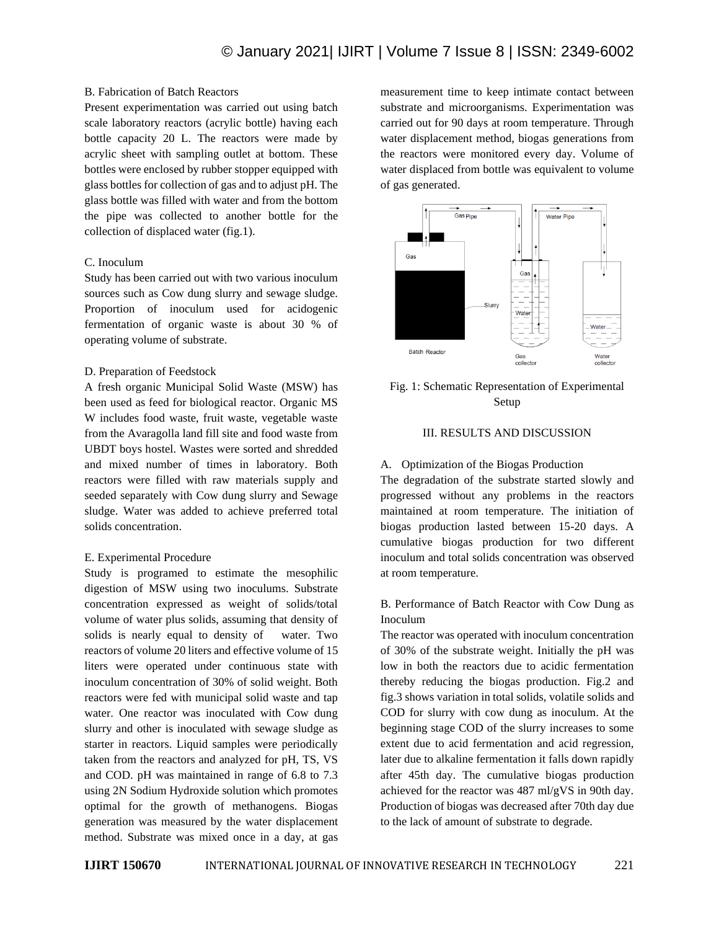# B. Fabrication of Batch Reactors

Present experimentation was carried out using batch scale laboratory reactors (acrylic bottle) having each bottle capacity 20 L. The reactors were made by acrylic sheet with sampling outlet at bottom. These bottles were enclosed by rubber stopper equipped with glass bottles for collection of gas and to adjust pH. The glass bottle was filled with water and from the bottom the pipe was collected to another bottle for the collection of displaced water (fig.1).

# C. Inoculum

Study has been carried out with two various inoculum sources such as Cow dung slurry and sewage sludge. Proportion of inoculum used for acidogenic fermentation of organic waste is about 30 % of operating volume of substrate.

## D. Preparation of Feedstock

A fresh organic Municipal Solid Waste (MSW) has been used as feed for biological reactor. Organic MS W includes food waste, fruit waste, vegetable waste from the Avaragolla land fill site and food waste from UBDT boys hostel. Wastes were sorted and shredded and mixed number of times in laboratory. Both reactors were filled with raw materials supply and seeded separately with Cow dung slurry and Sewage sludge. Water was added to achieve preferred total solids concentration.

#### E. Experimental Procedure

Study is programed to estimate the mesophilic digestion of MSW using two inoculums. Substrate concentration expressed as weight of solids/total volume of water plus solids, assuming that density of solids is nearly equal to density of water. Two reactors of volume 20 liters and effective volume of 15 liters were operated under continuous state with inoculum concentration of 30% of solid weight. Both reactors were fed with municipal solid waste and tap water. One reactor was inoculated with Cow dung slurry and other is inoculated with sewage sludge as starter in reactors. Liquid samples were periodically taken from the reactors and analyzed for pH, TS, VS and COD. pH was maintained in range of 6.8 to 7.3 using 2N Sodium Hydroxide solution which promotes optimal for the growth of methanogens. Biogas generation was measured by the water displacement method. Substrate was mixed once in a day, at gas

measurement time to keep intimate contact between substrate and microorganisms. Experimentation was carried out for 90 days at room temperature. Through water displacement method, biogas generations from the reactors were monitored every day. Volume of water displaced from bottle was equivalent to volume of gas generated.



# Fig. 1: Schematic Representation of Experimental Setup

# III. RESULTS AND DISCUSSION

#### A. Optimization of the Biogas Production

The degradation of the substrate started slowly and progressed without any problems in the reactors maintained at room temperature. The initiation of biogas production lasted between 15-20 days. A cumulative biogas production for two different inoculum and total solids concentration was observed at room temperature.

# B. Performance of Batch Reactor with Cow Dung as Inoculum

The reactor was operated with inoculum concentration of 30% of the substrate weight. Initially the pH was low in both the reactors due to acidic fermentation thereby reducing the biogas production. Fig.2 and fig.3 shows variation in total solids, volatile solids and COD for slurry with cow dung as inoculum. At the beginning stage COD of the slurry increases to some extent due to acid fermentation and acid regression, later due to alkaline fermentation it falls down rapidly after 45th day. The cumulative biogas production achieved for the reactor was 487 ml/gVS in 90th day. Production of biogas was decreased after 70th day due to the lack of amount of substrate to degrade.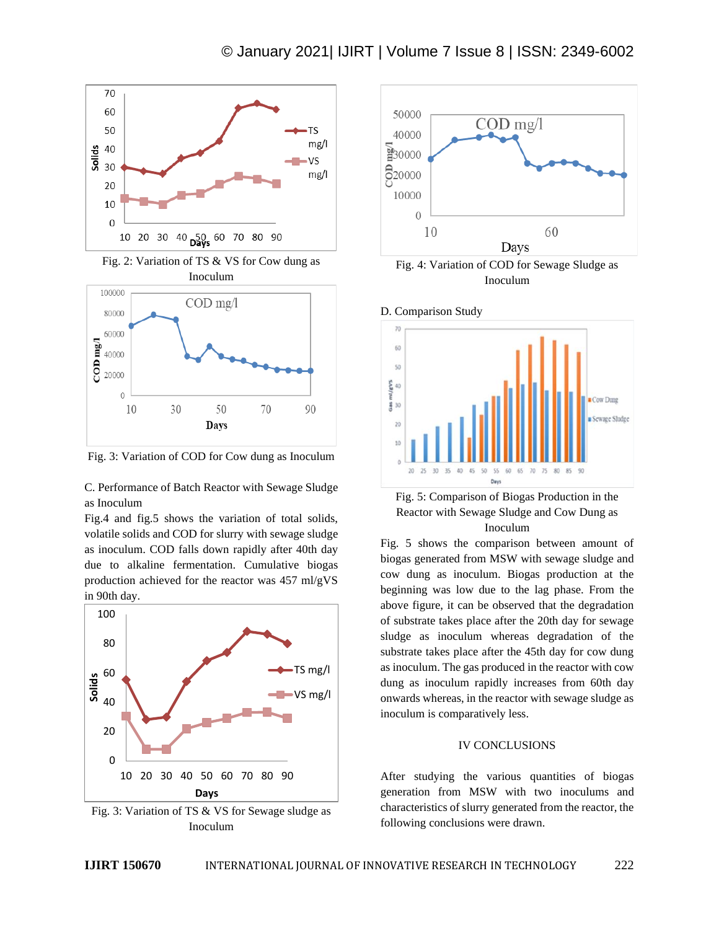

Fig. 2: Variation of TS & VS for Cow dung as Inoculum



Fig. 3: Variation of COD for Cow dung as Inoculum

C. Performance of Batch Reactor with Sewage Sludge as Inoculum

Fig.4 and fig.5 shows the variation of total solids, volatile solids and COD for slurry with sewage sludge as inoculum. COD falls down rapidly after 40th day due to alkaline fermentation. Cumulative biogas production achieved for the reactor was 457 ml/gVS in 90th day.



Fig. 3: Variation of TS & VS for Sewage sludge as Inoculum



Fig. 4: Variation of COD for Sewage Sludge as Inoculum





Fig. 5 shows the comparison between amount of biogas generated from MSW with sewage sludge and cow dung as inoculum. Biogas production at the beginning was low due to the lag phase. From the above figure, it can be observed that the degradation of substrate takes place after the 20th day for sewage sludge as inoculum whereas degradation of the substrate takes place after the 45th day for cow dung as inoculum. The gas produced in the reactor with cow dung as inoculum rapidly increases from 60th day onwards whereas, in the reactor with sewage sludge as inoculum is comparatively less.

## IV CONCLUSIONS

After studying the various quantities of biogas generation from MSW with two inoculums and characteristics of slurry generated from the reactor, the following conclusions were drawn.